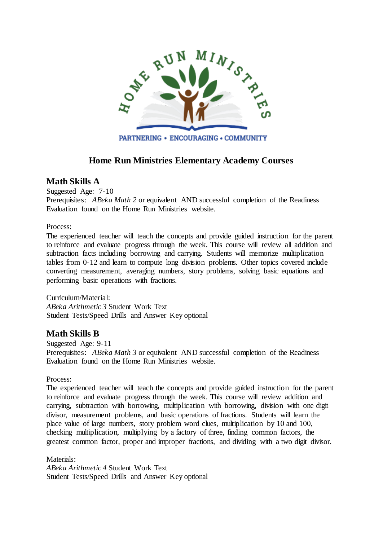

# **Home Run Ministries Elementary Academy Courses**

### **Math Skills A**

Suggested Age: 7-10 Prerequisites: *ABeka Math 2* or equivalent AND successful completion of the Readiness Evaluation found on the Home Run Ministries website.

Process:

The experienced teacher will teach the concepts and provide guided instruction for the parent to reinforce and evaluate progress through the week. This course will review all addition and subtraction facts including borrowing and carrying. Students will memorize multiplication tables from 0-12 and learn to compute long division problems. Other topics covered include converting measurement, averaging numbers, story problems, solving basic equations and performing basic operations with fractions.

Curriculum/Material: *ABeka Arithmetic 3* Student Work Text Student Tests/Speed Drills and Answer Key optional

# **Math Skills B**

Suggested Age: 9-11 Prerequisites: *ABeka Math 3* or equivalent AND successful completion of the Readiness Evaluation found on the Home Run Ministries website.

Process:

The experienced teacher will teach the concepts and provide guided instruction for the parent to reinforce and evaluate progress through the week. This course will review addition and carrying, subtraction with borrowing, multiplication with borrowing, division with one digit divisor, measurement problems, and basic operations of fractions. Students will learn the place value of large numbers, story problem word clues, multiplication by 10 and 100, checking multiplication, multiplying by a factory of three, finding common factors, the greatest common factor, proper and improper fractions, and dividing with a two digit divisor.

Materials: *ABeka Arithmetic 4* Student Work Text Student Tests/Speed Drills and Answer Key optional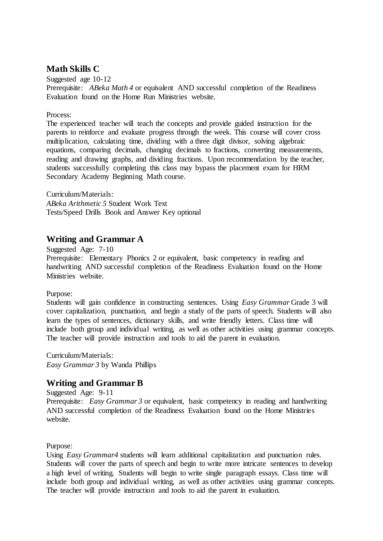# **Math Skills C**

Suggested age 10-12 Prerequisite: *ABeka Math 4* or equivalent AND successful completion of the Readiness Evaluation found on the Home Run Ministries website.

#### Process:

The experienced teacher will teach the concepts and provide guided instruction for the parents to reinforce and evaluate progress through the week. This course will cover cross multiplication, calculating time, dividing with a three digit divisor, solving algebraic equations, comparing decimals, changing decimals to fractions, converting measurements, reading and drawing graphs, and dividing fractions. Upon recommendation by the teacher, students successfully completing this class may bypass the placement exam for HRM Secondary Academy Beginning Math course.

Curriculum/Materials: *ABeka Arithmetic 5* Student Work Text Tests/Speed Drills Book and Answer Key optional

### **Writing and Grammar A**

Suggested Age: 7-10

Prerequisite: Elementary Phonics 2 or equivalent, basic competency in reading and handwriting AND successful completion of the Readiness Evaluation found on the Home Ministries website.

Purpose:

Students will gain confidence in constructing sentences. Using *Easy Grammar* Grade 3 will cover capitalization, punctuation, and begin a study of the parts of speech. Students will also learn the types of sentences, dictionary skills, and write friendly letters. Class time will include both group and individual writing, as well as other activities using grammar concepts. The teacher will provide instruction and tools to aid the parent in evaluation.

Curriculum/Materials: *Easy Grammar 3* by Wanda Phillips

### **Writing and Grammar B**

Suggested Age: 9-11

Prerequisite: *Easy Grammar 3* or equivalent, basic competency in reading and handwriting AND successful completion of the Readiness Evaluation found on the Home Ministries website.

Purpose:

Using *Easy Grammar4* students will learn additional capitalization and punctuation rules. Students will cover the parts of speech and begin to write more intricate sentences to develop a high level of writing. Students will begin to write single paragraph essays. Class time will include both group and individual writing, as well as other activities using grammar concepts. The teacher will provide instruction and tools to aid the parent in evaluation.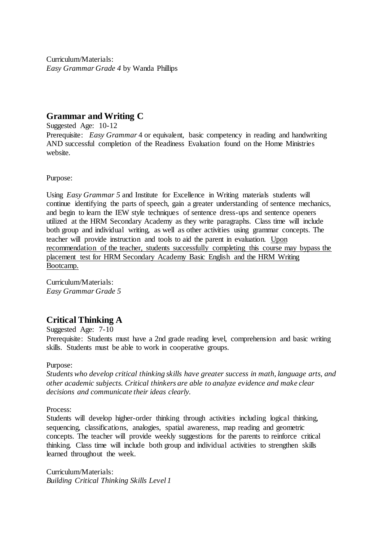Curriculum/Materials: *Easy Grammar Grade 4* by Wanda Phillips

## **Grammar and Writing C**

Suggested Age: 10-12 Prerequisite: *Easy Grammar* 4 or equivalent, basic competency in reading and handwriting AND successful completion of the Readiness Evaluation found on the Home Ministries website.

Purpose:

Using *Easy Grammar 5* and Institute for Excellence in Writing materials students will continue identifying the parts of speech, gain a greater understanding of sentence mechanics, and begin to learn the IEW style techniques of sentence dress-ups and sentence openers utilized at the HRM Secondary Academy as they write paragraphs. Class time will include both group and individual writing, as well as other activities using grammar concepts. The teacher will provide instruction and tools to aid the parent in evaluation. Upon recommendation of the teacher, students successfully completing this course may bypass the placement test for HRM Secondary Academy Basic English and the HRM Writing Bootcamp.

Curriculum/Materials: *Easy Grammar Grade 5* 

# **Critical Thinking A**

Suggested Age: 7-10

Prerequisite: Students must have a 2nd grade reading level, comprehension and basic writing skills. Students must be able to work in cooperative groups.

Purpose:

*Students who develop critical thinking skills have greater success in math, language arts, and other academic subjects. Critical thinkers are able to analyze evidence and make clear decisions and communicate their ideas clearly.* 

Process:

Students will develop higher-order thinking through activities including logical thinking, sequencing, classifications, analogies, spatial awareness, map reading and geometric concepts. The teacher will provide weekly suggestions for the parents to reinforce critical thinking. Class time will include both group and individual activities to strengthen skills learned throughout the week.

Curriculum/Materials: *Building Critical Thinking Skills Level 1*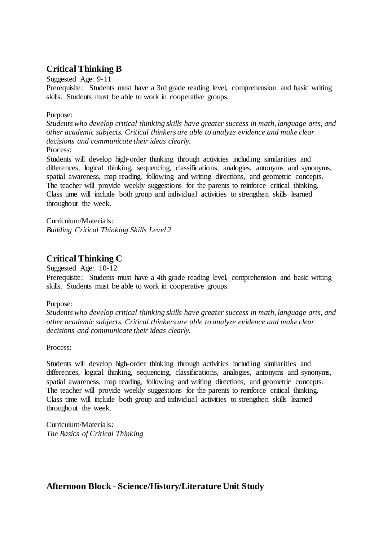# **Critical Thinking B**

Suggested Age: 9-11

Prerequisite: Students must have a 3rd grade reading level, comprehension and basic writing skills. Students must be able to work in cooperative groups.

#### Purpose:

*Students who develop critical thinking skills have greater success in math, language arts, and other academic subjects. Critical thinkers are able to analyze evidence and make clear decisions and communicate their ideas clearly.*  Process:

Students will develop high-order thinking through activities including similarities and differences, logical thinking, sequencing, classifications, analogies, antonyms and synonyms, spatial awareness, map reading, following and writing directions, and geometric concepts. The teacher will provide weekly suggestions for the parents to reinforce critical thinking. Class time will include both group and individual activities to strengthen skills learned throughout the week.

Curriculum/Materials: *Building Critical Thinking Skills Level 2*

# **Critical Thinking C**

Suggested Age: 10-12

Prerequisite: Students must have a 4th grade reading level, comprehension and basic writing skills. Students must be able to work in cooperative groups.

### Purpose:

*Students who develop critical thinking skills have greater success in math, language arts, and other academic subjects. Critical thinkers are able to analyze evidence and make clear decisions and communicate their ideas clearly.* 

#### Process:

Students will develop high-order thinking through activities including similarities and differences, logical thinking, sequencing, classifications, analogies, antonyms and synonyms, spatial awareness, map reading, following and writing directions, and geometric concepts. The teacher will provide weekly suggestions for the parents to reinforce critical thinking. Class time will include both group and individual activities to strengthen skills learned throughout the week.

Curriculum/Materials: *The Basics of Critical Thinking*

**Afternoon Block - Science/History/Literature Unit Study**